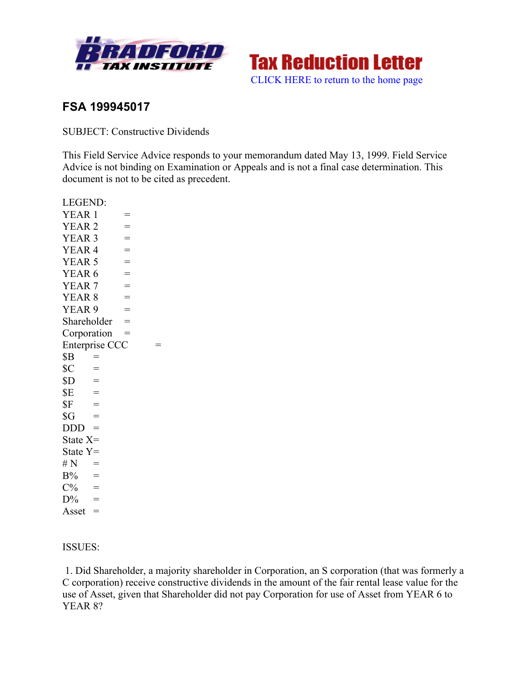



# **FSA 199945017**

SUBJECT: Constructive Dividends

This Field Service Advice responds to your memorandum dated May 13, 1999. Field Service Advice is not binding on Examination or Appeals and is not a final case determination. This document is not to be cited as precedent.

LEGEND:

 $YEAR 1 =$  $YEAR 2 =$  $YEAR 3 =$  $YEAR 4 =$  $YEAR 5 =$  $YEAR 6 =$  $YEAR 7 =$  $YEAR 8 =$  $YEAR 9 =$ Shareholder  $=$ Corporation = Enterprise CCC  $=$  $$B =$  $SC =$  $SD =$  $SE =$  $SF =$  $\text{SG}$  =  $DDD =$ State X= State Y=  $# N =$  $B\%$  =  $C\%$  =  $D\%$  = Asset  $=$ 

### ISSUES:

1. Did Shareholder, a majority shareholder in Corporation, an S corporation (that was formerly a C corporation) receive constructive dividends in the amount of the fair rental lease value for the use of Asset, given that Shareholder did not pay Corporation for use of Asset from YEAR 6 to YEAR 8?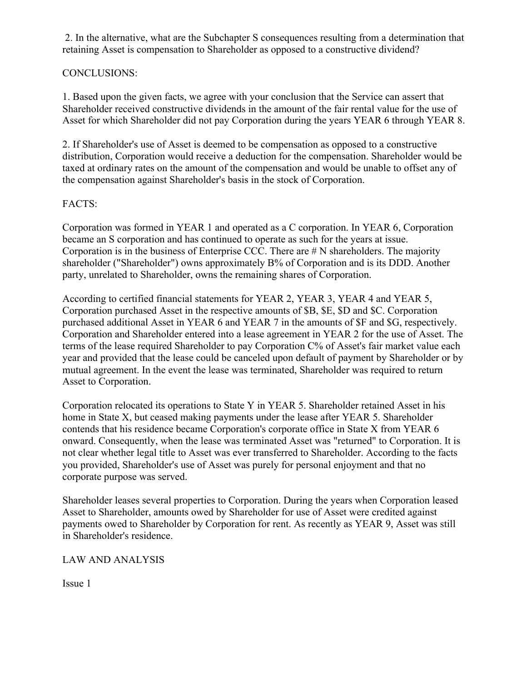2. In the alternative, what are the Subchapter S consequences resulting from a determination that retaining Asset is compensation to Shareholder as opposed to a constructive dividend?

## CONCLUSIONS:

1. Based upon the given facts, we agree with your conclusion that the Service can assert that Shareholder received constructive dividends in the amount of the fair rental value for the use of Asset for which Shareholder did not pay Corporation during the years YEAR 6 through YEAR 8.

2. If Shareholder's use of Asset is deemed to be compensation as opposed to a constructive distribution, Corporation would receive a deduction for the compensation. Shareholder would be taxed at ordinary rates on the amount of the compensation and would be unable to offset any of the compensation against Shareholder's basis in the stock of Corporation.

## FACTS:

Corporation was formed in YEAR 1 and operated as a C corporation. In YEAR 6, Corporation became an S corporation and has continued to operate as such for the years at issue. Corporation is in the business of Enterprise CCC. There are # N shareholders. The majority shareholder ("Shareholder") owns approximately B% of Corporation and is its DDD. Another party, unrelated to Shareholder, owns the remaining shares of Corporation.

According to certified financial statements for YEAR 2, YEAR 3, YEAR 4 and YEAR 5, Corporation purchased Asset in the respective amounts of \$B, \$E, \$D and \$C. Corporation purchased additional Asset in YEAR 6 and YEAR 7 in the amounts of \$F and \$G, respectively. Corporation and Shareholder entered into a lease agreement in YEAR 2 for the use of Asset. The terms of the lease required Shareholder to pay Corporation C% of Asset's fair market value each year and provided that the lease could be canceled upon default of payment by Shareholder or by mutual agreement. In the event the lease was terminated, Shareholder was required to return Asset to Corporation.

Corporation relocated its operations to State Y in YEAR 5. Shareholder retained Asset in his home in State X, but ceased making payments under the lease after YEAR 5. Shareholder contends that his residence became Corporation's corporate office in State X from YEAR 6 onward. Consequently, when the lease was terminated Asset was "returned" to Corporation. It is not clear whether legal title to Asset was ever transferred to Shareholder. According to the facts you provided, Shareholder's use of Asset was purely for personal enjoyment and that no corporate purpose was served.

Shareholder leases several properties to Corporation. During the years when Corporation leased Asset to Shareholder, amounts owed by Shareholder for use of Asset were credited against payments owed to Shareholder by Corporation for rent. As recently as YEAR 9, Asset was still in Shareholder's residence.

LAW AND ANALYSIS

Issue 1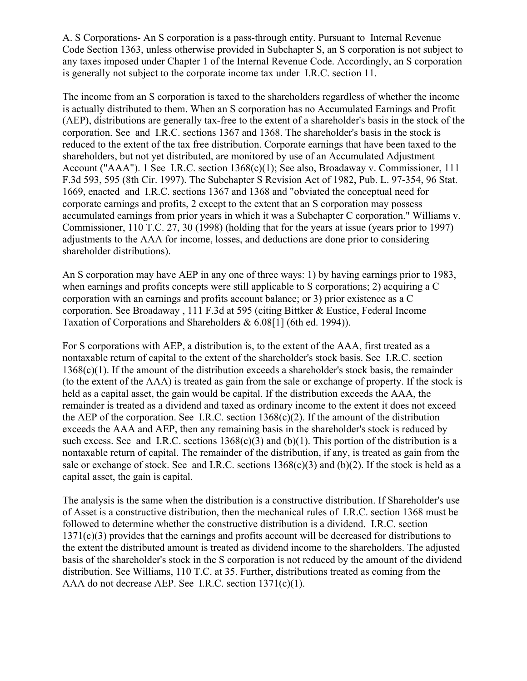A. S Corporations- An S corporation is a pass-through entity. Pursuant to Internal Revenue Code Section 1363, unless otherwise provided in Subchapter S, an S corporation is not subject to any taxes imposed under Chapter 1 of the Internal Revenue Code. Accordingly, an S corporation is generally not subject to the corporate income tax under I.R.C. section 11.

The income from an S corporation is taxed to the shareholders regardless of whether the income is actually distributed to them. When an S corporation has no Accumulated Earnings and Profit (AEP), distributions are generally tax-free to the extent of a shareholder's basis in the stock of the corporation. See and I.R.C. sections 1367 and 1368. The shareholder's basis in the stock is reduced to the extent of the tax free distribution. Corporate earnings that have been taxed to the shareholders, but not yet distributed, are monitored by use of an Accumulated Adjustment Account ("AAA"). 1 See I.R.C. section 1368(c)(1); See also, Broadaway v. Commissioner, 111 F.3d 593, 595 (8th Cir. 1997). The Subchapter S Revision Act of 1982, Pub. L. 97-354, 96 Stat. 1669, enacted and I.R.C. sections 1367 and 1368 and "obviated the conceptual need for corporate earnings and profits, 2 except to the extent that an S corporation may possess accumulated earnings from prior years in which it was a Subchapter C corporation." Williams v. Commissioner, 110 T.C. 27, 30 (1998) (holding that for the years at issue (years prior to 1997) adjustments to the AAA for income, losses, and deductions are done prior to considering shareholder distributions).

An S corporation may have AEP in any one of three ways: 1) by having earnings prior to 1983, when earnings and profits concepts were still applicable to S corporations; 2) acquiring a C corporation with an earnings and profits account balance; or 3) prior existence as a C corporation. See Broadaway , 111 F.3d at 595 (citing Bittker & Eustice, Federal Income Taxation of Corporations and Shareholders & 6.08[1] (6th ed. 1994)).

For S corporations with AEP, a distribution is, to the extent of the AAA, first treated as a nontaxable return of capital to the extent of the shareholder's stock basis. See I.R.C. section 1368(c)(1). If the amount of the distribution exceeds a shareholder's stock basis, the remainder (to the extent of the AAA) is treated as gain from the sale or exchange of property. If the stock is held as a capital asset, the gain would be capital. If the distribution exceeds the AAA, the remainder is treated as a dividend and taxed as ordinary income to the extent it does not exceed the AEP of the corporation. See I.R.C. section  $1368(c)(2)$ . If the amount of the distribution exceeds the AAA and AEP, then any remaining basis in the shareholder's stock is reduced by such excess. See and I.R.C. sections  $1368(c)(3)$  and  $(b)(1)$ . This portion of the distribution is a nontaxable return of capital. The remainder of the distribution, if any, is treated as gain from the sale or exchange of stock. See and I.R.C. sections  $1368(c)(3)$  and  $(b)(2)$ . If the stock is held as a capital asset, the gain is capital.

The analysis is the same when the distribution is a constructive distribution. If Shareholder's use of Asset is a constructive distribution, then the mechanical rules of I.R.C. section 1368 must be followed to determine whether the constructive distribution is a dividend. I.R.C. section 1371(c)(3) provides that the earnings and profits account will be decreased for distributions to the extent the distributed amount is treated as dividend income to the shareholders. The adjusted basis of the shareholder's stock in the S corporation is not reduced by the amount of the dividend distribution. See Williams, 110 T.C. at 35. Further, distributions treated as coming from the AAA do not decrease AEP. See I.R.C. section 1371(c)(1).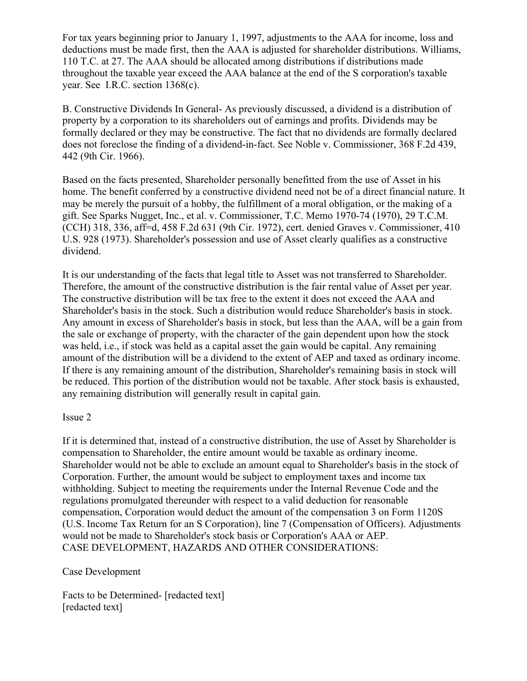For tax years beginning prior to January 1, 1997, adjustments to the AAA for income, loss and deductions must be made first, then the AAA is adjusted for shareholder distributions. Williams, 110 T.C. at 27. The AAA should be allocated among distributions if distributions made throughout the taxable year exceed the AAA balance at the end of the S corporation's taxable year. See I.R.C. section 1368(c).

B. Constructive Dividends In General- As previously discussed, a dividend is a distribution of property by a corporation to its shareholders out of earnings and profits. Dividends may be formally declared or they may be constructive. The fact that no dividends are formally declared does not foreclose the finding of a dividend-in-fact. See Noble v. Commissioner, 368 F.2d 439, 442 (9th Cir. 1966).

Based on the facts presented, Shareholder personally benefitted from the use of Asset in his home. The benefit conferred by a constructive dividend need not be of a direct financial nature. It may be merely the pursuit of a hobby, the fulfillment of a moral obligation, or the making of a gift. See Sparks Nugget, Inc., et al. v. Commissioner, T.C. Memo 1970-74 (1970), 29 T.C.M. (CCH) 318, 336, aff=d, 458 F.2d 631 (9th Cir. 1972), cert. denied Graves v. Commissioner, 410 U.S. 928 (1973). Shareholder's possession and use of Asset clearly qualifies as a constructive dividend.

It is our understanding of the facts that legal title to Asset was not transferred to Shareholder. Therefore, the amount of the constructive distribution is the fair rental value of Asset per year. The constructive distribution will be tax free to the extent it does not exceed the AAA and Shareholder's basis in the stock. Such a distribution would reduce Shareholder's basis in stock. Any amount in excess of Shareholder's basis in stock, but less than the AAA, will be a gain from the sale or exchange of property, with the character of the gain dependent upon how the stock was held, i.e., if stock was held as a capital asset the gain would be capital. Any remaining amount of the distribution will be a dividend to the extent of AEP and taxed as ordinary income. If there is any remaining amount of the distribution, Shareholder's remaining basis in stock will be reduced. This portion of the distribution would not be taxable. After stock basis is exhausted, any remaining distribution will generally result in capital gain.

#### Issue 2

If it is determined that, instead of a constructive distribution, the use of Asset by Shareholder is compensation to Shareholder, the entire amount would be taxable as ordinary income. Shareholder would not be able to exclude an amount equal to Shareholder's basis in the stock of Corporation. Further, the amount would be subject to employment taxes and income tax withholding. Subject to meeting the requirements under the Internal Revenue Code and the regulations promulgated thereunder with respect to a valid deduction for reasonable compensation, Corporation would deduct the amount of the compensation 3 on Form 1120S (U.S. Income Tax Return for an S Corporation), line 7 (Compensation of Officers). Adjustments would not be made to Shareholder's stock basis or Corporation's AAA or AEP. CASE DEVELOPMENT, HAZARDS AND OTHER CONSIDERATIONS:

#### Case Development

Facts to be Determined- [redacted text] [redacted text]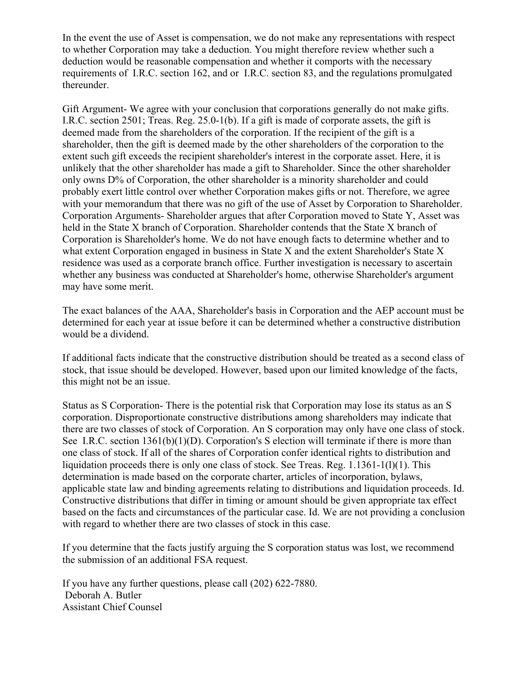In the event the use of Asset is compensation, we do not make any representations with respect to whether Corporation may take a deduction. You might therefore review whether such a deduction would be reasonable compensation and whether it comports with the necessary requirements of I.R.C. section 162, and or I.R.C. section 83, and the regulations promulgated thereunder.

Gift Argument- We agree with your conclusion that corporations generally do not make gifts. I.R.C. section 2501; Treas. Reg. 25.0-1(b). If a gift is made of corporate assets, the gift is deemed made from the shareholders of the corporation. If the recipient of the gift is a shareholder, then the gift is deemed made by the other shareholders of the corporation to the extent such gift exceeds the recipient shareholder's interest in the corporate asset. Here, it is unlikely that the other shareholder has made a gift to Shareholder. Since the other shareholder only owns D% of Corporation, the other shareholder is a minority shareholder and could probably exert little control over whether Corporation makes gifts or not. Therefore, we agree with your memorandum that there was no gift of the use of Asset by Corporation to Shareholder. Corporation Arguments- Shareholder argues that after Corporation moved to State Y, Asset was held in the State X branch of Corporation. Shareholder contends that the State X branch of Corporation is Shareholder's home. We do not have enough facts to determine whether and to what extent Corporation engaged in business in State X and the extent Shareholder's State X residence was used as a corporate branch office. Further investigation is necessary to ascertain whether any business was conducted at Shareholder's home, otherwise Shareholder's argument may have some merit.

The exact balances of the AAA, Shareholder's basis in Corporation and the AEP account must be determined for each year at issue before it can be determined whether a constructive distribution would be a dividend.

If additional facts indicate that the constructive distribution should be treated as a second class of stock, that issue should be developed. However, based upon our limited knowledge of the facts, this might not be an issue.

Status as S Corporation- There is the potential risk that Corporation may lose its status as an S corporation. Disproportionate constructive distributions among shareholders may indicate that there are two classes of stock of Corporation. An S corporation may only have one class of stock. See I.R.C. section 1361(b)(1)(D). Corporation's S election will terminate if there is more than one class of stock. If all of the shares of Corporation confer identical rights to distribution and liquidation proceeds there is only one class of stock. See Treas. Reg.  $1.1361-1(1)(1)$ . This determination is made based on the corporate charter, articles of incorporation, bylaws, applicable state law and binding agreements relating to distributions and liquidation proceeds. Id. Constructive distributions that differ in timing or amount should be given appropriate tax effect based on the facts and circumstances of the particular case. Id. We are not providing a conclusion with regard to whether there are two classes of stock in this case.

If you determine that the facts justify arguing the S corporation status was lost, we recommend the submission of an additional FSA request.

If you have any further questions, please call (202) 622-7880. Deborah A. Butler Assistant Chief Counsel